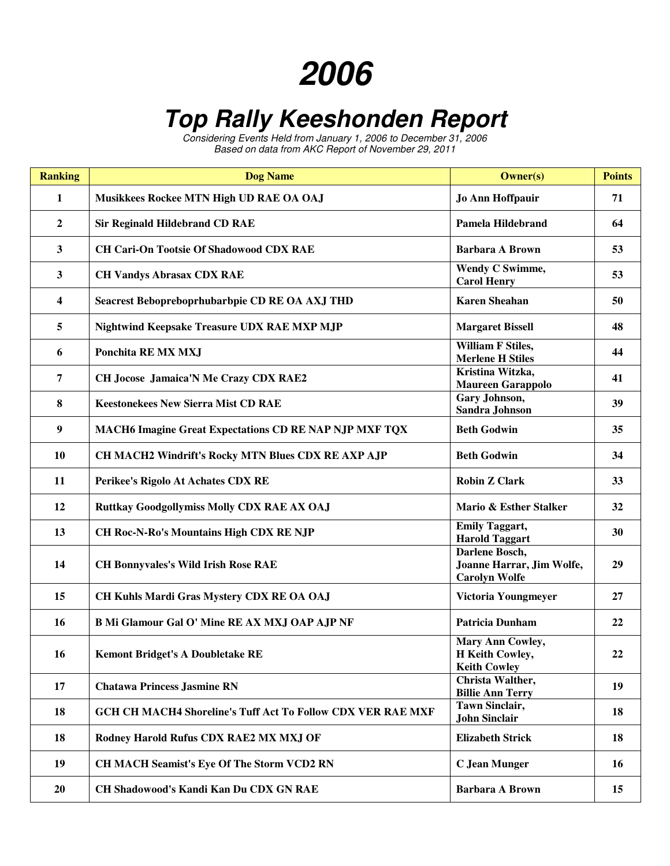## **2006**

## **Top Rally Keeshonden Report**

Considering Events Held from January 1, 2006 to December 31, 2006 Based on data from AKC Report of November 29, 2011

| <b>Ranking</b> | <b>Dog Name</b>                                                    | <b>Owner(s)</b>                                                     | <b>Points</b> |
|----------------|--------------------------------------------------------------------|---------------------------------------------------------------------|---------------|
| 1              | Musikkees Rockee MTN High UD RAE OA OAJ                            | <b>Jo Ann Hoffpauir</b>                                             | 71            |
| $\overline{2}$ | <b>Sir Reginald Hildebrand CD RAE</b>                              | <b>Pamela Hildebrand</b>                                            | 64            |
| $\mathbf{3}$   | <b>CH Cari-On Tootsie Of Shadowood CDX RAE</b>                     | <b>Barbara A Brown</b>                                              | 53            |
| 3              | <b>CH Vandys Abrasax CDX RAE</b>                                   | Wendy C Swimme,<br><b>Carol Henry</b>                               | 53            |
| 4              | Seacrest Bebopreboprhubarbpie CD RE OA AXJ THD                     | <b>Karen Sheahan</b>                                                | 50            |
| 5              | Nightwind Keepsake Treasure UDX RAE MXP MJP                        | <b>Margaret Bissell</b>                                             | 48            |
| 6              | Ponchita RE MX MXJ                                                 | <b>William F Stiles,</b><br><b>Merlene H Stiles</b>                 | 44            |
| $\overline{7}$ | CH Jocose Jamaica'N Me Crazy CDX RAE2                              | Kristina Witzka,<br><b>Maureen Garappolo</b>                        | 41            |
| 8              | <b>Keestonekees New Sierra Mist CD RAE</b>                         | Gary Johnson,<br><b>Sandra Johnson</b>                              | 39            |
| 9              | <b>MACH6 Imagine Great Expectations CD RE NAP NJP MXF TQX</b>      | <b>Beth Godwin</b>                                                  | 35            |
| 10             | CH MACH2 Windrift's Rocky MTN Blues CDX RE AXP AJP                 | <b>Beth Godwin</b>                                                  | 34            |
| 11             | Perikee's Rigolo At Achates CDX RE                                 | <b>Robin Z Clark</b>                                                | 33            |
| 12             | <b>Ruttkay Goodgollymiss Molly CDX RAE AX OAJ</b>                  | Mario & Esther Stalker                                              | 32            |
| 13             | <b>CH Roc-N-Ro's Mountains High CDX RE NJP</b>                     | <b>Emily Taggart,</b><br><b>Harold Taggart</b>                      | 30            |
| 14             | <b>CH Bonnyvales's Wild Irish Rose RAE</b>                         | Darlene Bosch,<br>Joanne Harrar, Jim Wolfe,<br><b>Carolyn Wolfe</b> | 29            |
| 15             | CH Kuhls Mardi Gras Mystery CDX RE OA OAJ                          | Victoria Youngmeyer                                                 | 27            |
| 16             | B Mi Glamour Gal O' Mine RE AX MXJ OAP AJP NF                      | <b>Patricia Dunham</b>                                              | 22            |
| 16             | <b>Kemont Bridget's A Doubletake RE</b>                            | Mary Ann Cowley,<br>H Keith Cowley,<br><b>Keith Cowley</b>          | 22            |
| 17             | <b>Chatawa Princess Jasmine RN</b>                                 | Christa Walther,<br><b>Billie Ann Terry</b>                         | 19            |
| 18             | <b>GCH CH MACH4 Shoreline's Tuff Act To Follow CDX VER RAE MXF</b> | <b>Tawn Sinclair,</b><br><b>John Sinclair</b>                       | 18            |
| 18             | Rodney Harold Rufus CDX RAE2 MX MXJ OF                             | <b>Elizabeth Strick</b>                                             | 18            |
| 19             | CH MACH Seamist's Eye Of The Storm VCD2 RN                         | <b>C</b> Jean Munger                                                | 16            |
| 20             | CH Shadowood's Kandi Kan Du CDX GN RAE                             | <b>Barbara A Brown</b>                                              | 15            |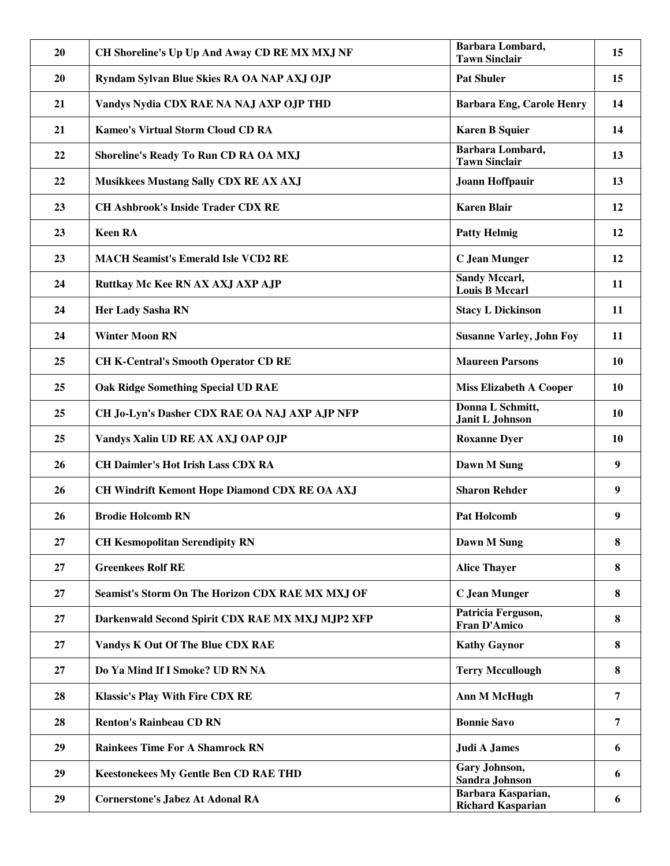| 20 | CH Shoreline's Up Up And Away CD RE MX MXJ NF    | Barbara Lombard,<br><b>Tawn Sinclair</b>      | 15        |
|----|--------------------------------------------------|-----------------------------------------------|-----------|
| 20 | Ryndam Sylvan Blue Skies RA OA NAP AXJ OJP       | <b>Pat Shuler</b>                             | 15        |
| 21 | Vandys Nydia CDX RAE NA NAJ AXP OJP THD          | <b>Barbara Eng, Carole Henry</b>              | 14        |
| 21 | <b>Kameo's Virtual Storm Cloud CD RA</b>         | <b>Karen B Squier</b>                         | 14        |
| 22 | Shoreline's Ready To Run CD RA OA MXJ            | Barbara Lombard,<br><b>Tawn Sinclair</b>      | 13        |
| 22 | Musikkees Mustang Sally CDX RE AX AXJ            | Joann Hoffpauir                               | 13        |
| 23 | <b>CH Ashbrook's Inside Trader CDX RE</b>        | <b>Karen Blair</b>                            | 12        |
| 23 | <b>Keen RA</b>                                   | <b>Patty Helmig</b>                           | 12        |
| 23 | <b>MACH Seamist's Emerald Isle VCD2 RE</b>       | <b>C</b> Jean Munger                          | 12        |
| 24 | Ruttkay Mc Kee RN AX AXJ AXP AJP                 | <b>Sandy Mccarl,</b><br><b>Louis B Mccarl</b> | 11        |
| 24 | Her Lady Sasha RN                                | <b>Stacy L Dickinson</b>                      | 11        |
| 24 | <b>Winter Moon RN</b>                            | <b>Susanne Varley, John Foy</b>               | 11        |
| 25 | <b>CH K-Central's Smooth Operator CD RE</b>      | <b>Maureen Parsons</b>                        | <b>10</b> |
| 25 | <b>Oak Ridge Something Special UD RAE</b>        | <b>Miss Elizabeth A Cooper</b>                | <b>10</b> |
| 25 | CH Jo-Lyn's Dasher CDX RAE OA NAJ AXP AJP NFP    | Donna L Schmitt,<br>Janit L Johnson           | <b>10</b> |
| 25 | Vandys Xalin UD RE AX AXJ OAP OJP                | <b>Roxanne Dyer</b>                           | <b>10</b> |
| 26 | <b>CH Daimler's Hot Irish Lass CDX RA</b>        | Dawn M Sung                                   | 9         |
| 26 | CH Windrift Kemont Hope Diamond CDX RE OA AXJ    | <b>Sharon Rehder</b>                          | 9         |
| 26 | <b>Brodie Holcomb RN</b>                         | <b>Pat Holcomb</b>                            | 9         |
| 27 | <b>CH Kesmopolitan Serendipity RN</b>            | Dawn M Sung                                   | 8         |
| 27 | <b>Greenkees Rolf RE</b>                         | <b>Alice Thayer</b>                           | 8         |
| 27 | Seamist's Storm On The Horizon CDX RAE MX MXJ OF | <b>C</b> Jean Munger                          | 8         |
| 27 | Darkenwald Second Spirit CDX RAE MX MXJ MJP2 XFP | Patricia Ferguson,<br><b>Fran D'Amico</b>     | 8         |
| 27 | Vandys K Out Of The Blue CDX RAE                 | <b>Kathy Gaynor</b>                           | 8         |
| 27 | Do Ya Mind If I Smoke? UD RN NA                  | <b>Terry Mccullough</b>                       | 8         |
| 28 | <b>Klassic's Play With Fire CDX RE</b>           | <b>Ann M McHugh</b>                           | 7         |
| 28 | <b>Renton's Rainbeau CD RN</b>                   | <b>Bonnie Savo</b>                            | 7         |
| 29 | <b>Rainkees Time For A Shamrock RN</b>           | <b>Judi A James</b>                           | 6         |
| 29 | <b>Keestonekees My Gentle Ben CD RAE THD</b>     | Gary Johnson,<br><b>Sandra Johnson</b>        | 6         |
| 29 |                                                  | Barbara Kasparian,                            |           |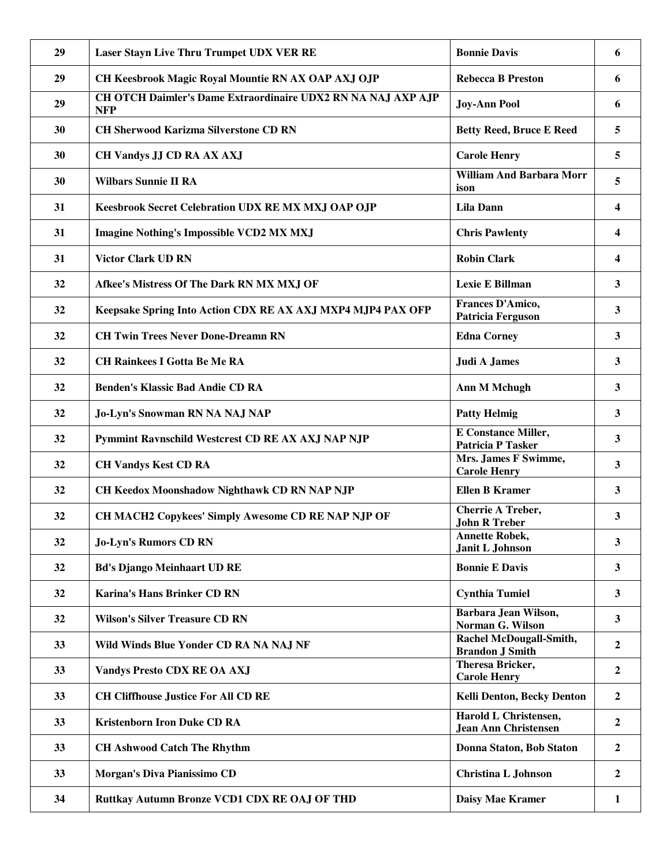|    | <b>Laser Stayn Live Thru Trumpet UDX VER RE</b>                            | <b>Bonnie Davis</b>                                    | 6                |
|----|----------------------------------------------------------------------------|--------------------------------------------------------|------------------|
| 29 | CH Keesbrook Magic Royal Mountie RN AX OAP AXJ OJP                         | <b>Rebecca B Preston</b>                               | 6                |
| 29 | CH OTCH Daimler's Dame Extraordinaire UDX2 RN NA NAJ AXP AJP<br><b>NFP</b> | <b>Joy-Ann Pool</b>                                    | 6                |
| 30 | <b>CH Sherwood Karizma Silverstone CD RN</b>                               | <b>Betty Reed, Bruce E Reed</b>                        | 5                |
| 30 | CH Vandys JJ CD RA AX AXJ                                                  | <b>Carole Henry</b>                                    | 5                |
| 30 | <b>Wilbars Sunnie II RA</b>                                                | <b>William And Barbara Morr</b><br>ison                | 5                |
| 31 | Keesbrook Secret Celebration UDX RE MX MXJ OAP OJP                         | <b>Lila Dann</b>                                       | 4                |
| 31 | <b>Imagine Nothing's Impossible VCD2 MX MXJ</b>                            | <b>Chris Pawlenty</b>                                  | 4                |
| 31 | <b>Victor Clark UD RN</b>                                                  | <b>Robin Clark</b>                                     | 4                |
| 32 | Afkee's Mistress Of The Dark RN MX MXJ OF                                  | Lexie E Billman                                        | 3                |
| 32 | Keepsake Spring Into Action CDX RE AX AXJ MXP4 MJP4 PAX OFP                | Frances D'Amico,<br><b>Patricia Ferguson</b>           | 3                |
| 32 | <b>CH Twin Trees Never Done-Dreamn RN</b>                                  | <b>Edna Corney</b>                                     | 3                |
| 32 | <b>CH Rainkees I Gotta Be Me RA</b>                                        | Judi A James                                           | 3                |
| 32 | <b>Benden's Klassic Bad Andie CD RA</b>                                    | <b>Ann M Mchugh</b>                                    | $\mathbf{3}$     |
| 32 | Jo-Lyn's Snowman RN NA NAJ NAP                                             | <b>Patty Helmig</b>                                    | 3                |
| 32 | Pymmint Ravnschild Westcrest CD RE AX AXJ NAP NJP                          | <b>E</b> Constance Miller,<br><b>Patricia P Tasker</b> | 3                |
| 32 | <b>CH Vandys Kest CD RA</b>                                                | Mrs. James F Swimme,<br><b>Carole Henry</b>            | 3                |
| 32 | CH Keedox Moonshadow Nighthawk CD RN NAP NJP                               | <b>Ellen B Kramer</b>                                  | 3                |
| 32 | CH MACH2 Copykees' Simply Awesome CD RE NAP NJP OF                         | Cherrie A Treber,<br><b>John R Treber</b>              | 3                |
| 32 | <b>Jo-Lyn's Rumors CD RN</b>                                               | <b>Annette Robek,</b><br>Janit L Johnson               | 3                |
| 32 | <b>Bd's Django Meinhaart UD RE</b>                                         | <b>Bonnie E Davis</b>                                  | $\mathbf{3}$     |
| 32 | <b>Karina's Hans Brinker CD RN</b>                                         | <b>Cynthia Tumiel</b>                                  | $\mathbf{3}$     |
| 32 | <b>Wilson's Silver Treasure CD RN</b>                                      | Barbara Jean Wilson,<br>Norman G. Wilson               | $\mathbf{3}$     |
| 33 | Wild Winds Blue Yonder CD RA NA NAJ NF                                     | Rachel McDougall-Smith,<br><b>Brandon J Smith</b>      | $\overline{2}$   |
| 33 | <b>Vandys Presto CDX RE OA AXJ</b>                                         | Theresa Bricker,<br><b>Carole Henry</b>                | $\boldsymbol{2}$ |
| 33 | <b>CH Cliffhouse Justice For All CD RE</b>                                 | <b>Kelli Denton, Becky Denton</b>                      | $\overline{2}$   |
| 33 | <b>Kristenborn Iron Duke CD RA</b>                                         | Harold L Christensen,<br><b>Jean Ann Christensen</b>   | $\boldsymbol{2}$ |
| 33 | <b>CH Ashwood Catch The Rhythm</b>                                         | Donna Staton, Bob Staton                               | $\overline{2}$   |
| 33 | Morgan's Diva Pianissimo CD                                                | <b>Christina L Johnson</b>                             | $\overline{2}$   |
| 34 | Ruttkay Autumn Bronze VCD1 CDX RE OAJ OF THD                               | Daisy Mae Kramer                                       | $\mathbf{1}$     |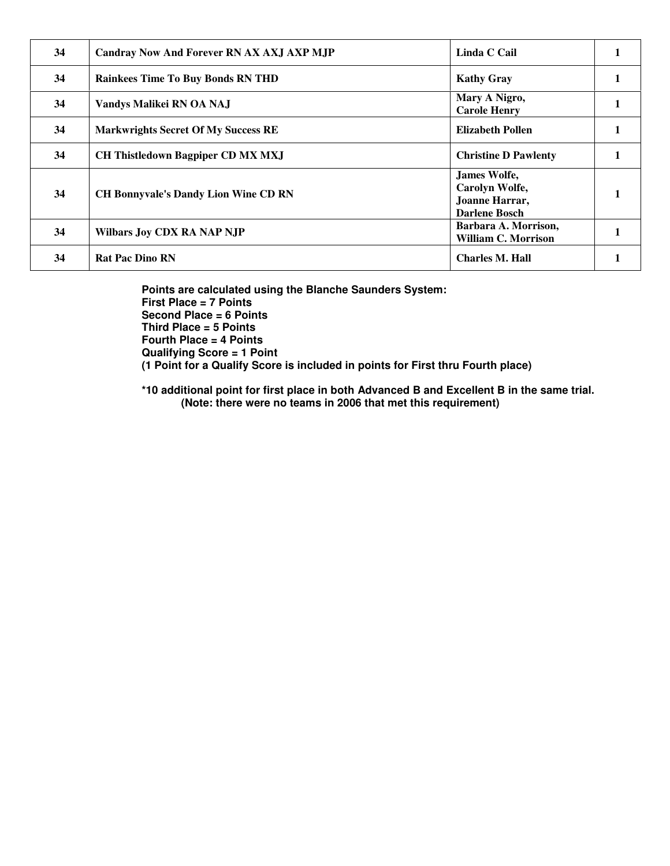| 34 | Candray Now And Forever RN AX AXJ AXP MJP   | Linda C Cail                                                                    |  |
|----|---------------------------------------------|---------------------------------------------------------------------------------|--|
| 34 | <b>Rainkees Time To Buy Bonds RN THD</b>    | <b>Kathy Gray</b>                                                               |  |
| 34 | Vandys Malikei RN OA NAJ                    | Mary A Nigro,<br><b>Carole Henry</b>                                            |  |
| 34 | <b>Markwrights Secret Of My Success RE</b>  | <b>Elizabeth Pollen</b>                                                         |  |
| 34 | <b>CH Thistledown Bagpiper CD MX MXJ</b>    | <b>Christine D Pawlenty</b>                                                     |  |
| 34 | <b>CH Bonnyvale's Dandy Lion Wine CD RN</b> | <b>James Wolfe,</b><br>Carolyn Wolfe,<br>Joanne Harrar,<br><b>Darlene Bosch</b> |  |
| 34 | <b>Wilbars Joy CDX RA NAP NJP</b>           | Barbara A. Morrison,<br><b>William C. Morrison</b>                              |  |
| 34 | <b>Rat Pac Dino RN</b>                      | <b>Charles M. Hall</b>                                                          |  |

**Points are calculated using the Blanche Saunders System: First Place = 7 Points Second Place = 6 Points Third Place = 5 Points Fourth Place = 4 Points Qualifying Score = 1 Point (1 Point for a Qualify Score is included in points for First thru Fourth place)** 

**\*10 additional point for first place in both Advanced B and Excellent B in the same trial. (Note: there were no teams in 2006 that met this requirement)**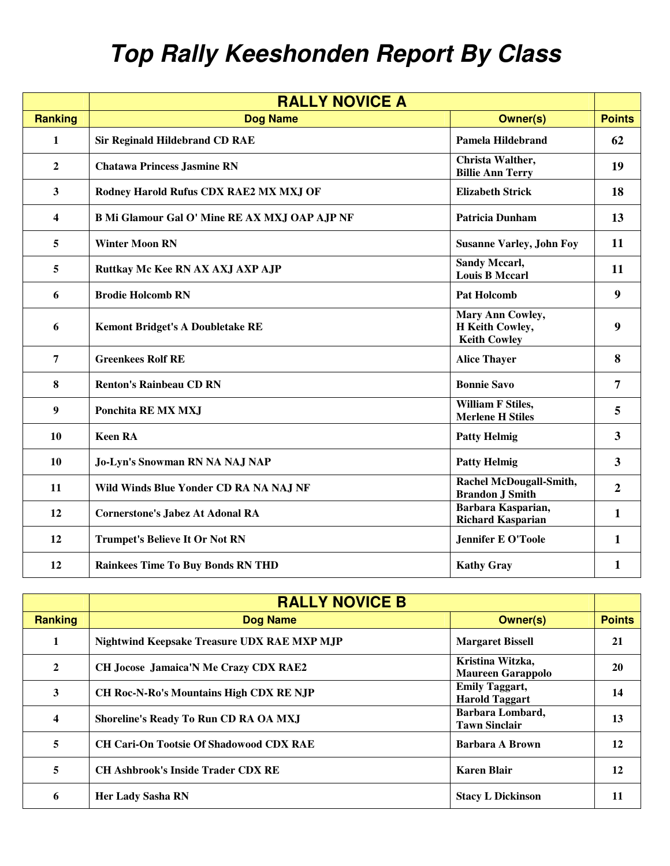## **Top Rally Keeshonden Report By Class**

|                  | <b>RALLY NOVICE A</b>                                |                                                            |                  |
|------------------|------------------------------------------------------|------------------------------------------------------------|------------------|
| <b>Ranking</b>   | <b>Dog Name</b>                                      | <b>Owner(s)</b>                                            | <b>Points</b>    |
| $\mathbf{1}$     | <b>Sir Reginald Hildebrand CD RAE</b>                | <b>Pamela Hildebrand</b>                                   | 62               |
| $\overline{2}$   | <b>Chatawa Princess Jasmine RN</b>                   | Christa Walther,<br><b>Billie Ann Terry</b>                | 19               |
| $\mathbf{3}$     | Rodney Harold Rufus CDX RAE2 MX MXJ OF               | <b>Elizabeth Strick</b>                                    | 18               |
| 4                | <b>B Mi Glamour Gal O' Mine RE AX MXJ OAP AJP NF</b> | <b>Patricia Dunham</b>                                     | 13               |
| 5                | <b>Winter Moon RN</b>                                | <b>Susanne Varley, John Foy</b>                            | 11               |
| 5                | Ruttkay Mc Kee RN AX AXJ AXP AJP                     | <b>Sandy Mccarl,</b><br><b>Louis B Mccarl</b>              | 11               |
| 6                | <b>Brodie Holcomb RN</b>                             | <b>Pat Holcomb</b>                                         | 9                |
| 6                | <b>Kemont Bridget's A Doubletake RE</b>              | Mary Ann Cowley,<br>H Keith Cowley,<br><b>Keith Cowley</b> | 9                |
| 7                | <b>Greenkees Rolf RE</b>                             | <b>Alice Thayer</b>                                        | 8                |
| 8                | <b>Renton's Rainbeau CD RN</b>                       | <b>Bonnie Savo</b>                                         | 7                |
| $\boldsymbol{9}$ | Ponchita RE MX MXJ                                   | <b>William F Stiles,</b><br><b>Merlene H Stiles</b>        | 5                |
| 10               | <b>Keen RA</b>                                       | <b>Patty Helmig</b>                                        | $\overline{3}$   |
| 10               | Jo-Lyn's Snowman RN NA NAJ NAP                       | <b>Patty Helmig</b>                                        | $\mathbf{3}$     |
| 11               | Wild Winds Blue Yonder CD RA NA NAJ NF               | Rachel McDougall-Smith,<br><b>Brandon J Smith</b>          | $\boldsymbol{2}$ |
| 12               | <b>Cornerstone's Jabez At Adonal RA</b>              | Barbara Kasparian,<br><b>Richard Kasparian</b>             | $\mathbf{1}$     |
| 12               | <b>Trumpet's Believe It Or Not RN</b>                | <b>Jennifer E O'Toole</b>                                  | 1                |
| 12               | <b>Rainkees Time To Buy Bonds RN THD</b>             | <b>Kathy Gray</b>                                          | 1                |

|                | <b>RALLY NOVICE B</b>                          |                                                |               |
|----------------|------------------------------------------------|------------------------------------------------|---------------|
| <b>Ranking</b> | <b>Dog Name</b>                                | <b>Owner(s)</b>                                | <b>Points</b> |
|                | Nightwind Keepsake Treasure UDX RAE MXP MJP    | <b>Margaret Bissell</b>                        | 21            |
| $\mathbf{2}$   | <b>CH</b> Jocose Jamaica'N Me Crazy CDX RAE2   | Kristina Witzka,<br><b>Maureen Garappolo</b>   | 20            |
| 3              | <b>CH Roc-N-Ro's Mountains High CDX RE NJP</b> | <b>Emily Taggart,</b><br><b>Harold Taggart</b> | 14            |
| 4              | <b>Shoreline's Ready To Run CD RA OA MXJ</b>   | Barbara Lombard,<br><b>Tawn Sinclair</b>       | 13            |
| 5              | <b>CH Cari-On Tootsie Of Shadowood CDX RAE</b> | Barbara A Brown                                | 12            |
| 5              | <b>CH Ashbrook's Inside Trader CDX RE</b>      | <b>Karen Blair</b>                             | 12            |
| 6              | <b>Her Lady Sasha RN</b>                       | <b>Stacy L Dickinson</b>                       | 11            |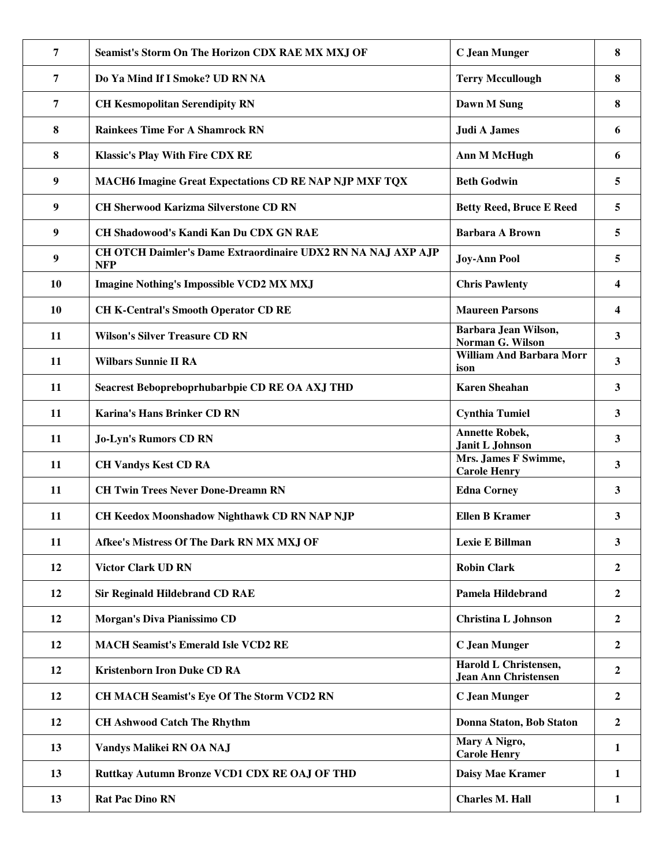| 7                | Seamist's Storm On The Horizon CDX RAE MX MXJ OF                           | <b>C</b> Jean Munger                                 | 8                       |
|------------------|----------------------------------------------------------------------------|------------------------------------------------------|-------------------------|
| $\overline{7}$   | Do Ya Mind If I Smoke? UD RN NA                                            | <b>Terry Mccullough</b>                              | 8                       |
| 7                | <b>CH Kesmopolitan Serendipity RN</b>                                      | Dawn M Sung                                          | 8                       |
| 8                | <b>Rainkees Time For A Shamrock RN</b>                                     | Judi A James                                         | 6                       |
| 8                | <b>Klassic's Play With Fire CDX RE</b>                                     | Ann M McHugh                                         | 6                       |
| 9                | MACH6 Imagine Great Expectations CD RE NAP NJP MXF TQX                     | <b>Beth Godwin</b>                                   | 5                       |
| $\boldsymbol{9}$ | <b>CH Sherwood Karizma Silverstone CD RN</b>                               | <b>Betty Reed, Bruce E Reed</b>                      | 5                       |
| 9                | <b>CH Shadowood's Kandi Kan Du CDX GN RAE</b>                              | <b>Barbara A Brown</b>                               | 5                       |
| 9                | CH OTCH Daimler's Dame Extraordinaire UDX2 RN NA NAJ AXP AJP<br><b>NFP</b> | <b>Joy-Ann Pool</b>                                  | 5                       |
| 10               | <b>Imagine Nothing's Impossible VCD2 MX MXJ</b>                            | <b>Chris Pawlenty</b>                                | 4                       |
| 10               | <b>CH K-Central's Smooth Operator CD RE</b>                                | <b>Maureen Parsons</b>                               | $\overline{\mathbf{4}}$ |
| 11               | <b>Wilson's Silver Treasure CD RN</b>                                      | Barbara Jean Wilson,<br><b>Norman G. Wilson</b>      | $\mathbf{3}$            |
| 11               | <b>Wilbars Sunnie II RA</b>                                                | <b>William And Barbara Morr</b><br>ison              | 3                       |
| 11               | Seacrest Bebopreboprhubarbpie CD RE OA AXJ THD                             | <b>Karen Sheahan</b>                                 | 3                       |
| 11               | Karina's Hans Brinker CD RN                                                | <b>Cynthia Tumiel</b>                                | 3                       |
| 11               | <b>Jo-Lyn's Rumors CD RN</b>                                               | <b>Annette Robek,</b><br>Janit L Johnson             | $\mathbf{3}$            |
| 11               | <b>CH Vandys Kest CD RA</b>                                                | Mrs. James F Swimme,<br><b>Carole Henry</b>          | $\mathbf{3}$            |
| 11               | <b>CH Twin Trees Never Done-Dreamn RN</b>                                  | <b>Edna Corney</b>                                   | 3                       |
| 11               | CH Keedox Moonshadow Nighthawk CD RN NAP NJP                               | <b>Ellen B Kramer</b>                                | 3                       |
| 11               | Afkee's Mistress Of The Dark RN MX MXJ OF                                  | <b>Lexie E Billman</b>                               | 3                       |
| 12               | <b>Victor Clark UD RN</b>                                                  | <b>Robin Clark</b>                                   | $\mathbf{2}$            |
| 12               | <b>Sir Reginald Hildebrand CD RAE</b>                                      | <b>Pamela Hildebrand</b>                             | $\boldsymbol{2}$        |
| 12               | Morgan's Diva Pianissimo CD                                                | <b>Christina L Johnson</b>                           | $\overline{2}$          |
| 12               | <b>MACH Seamist's Emerald Isle VCD2 RE</b>                                 | <b>C</b> Jean Munger                                 | $\overline{2}$          |
| 12               | <b>Kristenborn Iron Duke CD RA</b>                                         | Harold L Christensen,<br><b>Jean Ann Christensen</b> | $\overline{2}$          |
| 12               | <b>CH MACH Seamist's Eye Of The Storm VCD2 RN</b>                          | <b>C</b> Jean Munger                                 | $\boldsymbol{2}$        |
| 12               | <b>CH Ashwood Catch The Rhythm</b>                                         | Donna Staton, Bob Staton                             | $\overline{2}$          |
| 13               | Vandys Malikei RN OA NAJ                                                   | Mary A Nigro,<br><b>Carole Henry</b>                 | $\mathbf{1}$            |
| 13               | Ruttkay Autumn Bronze VCD1 CDX RE OAJ OF THD                               | Daisy Mae Kramer                                     | $\mathbf{1}$            |
| 13               | <b>Rat Pac Dino RN</b>                                                     | <b>Charles M. Hall</b>                               | $\mathbf{1}$            |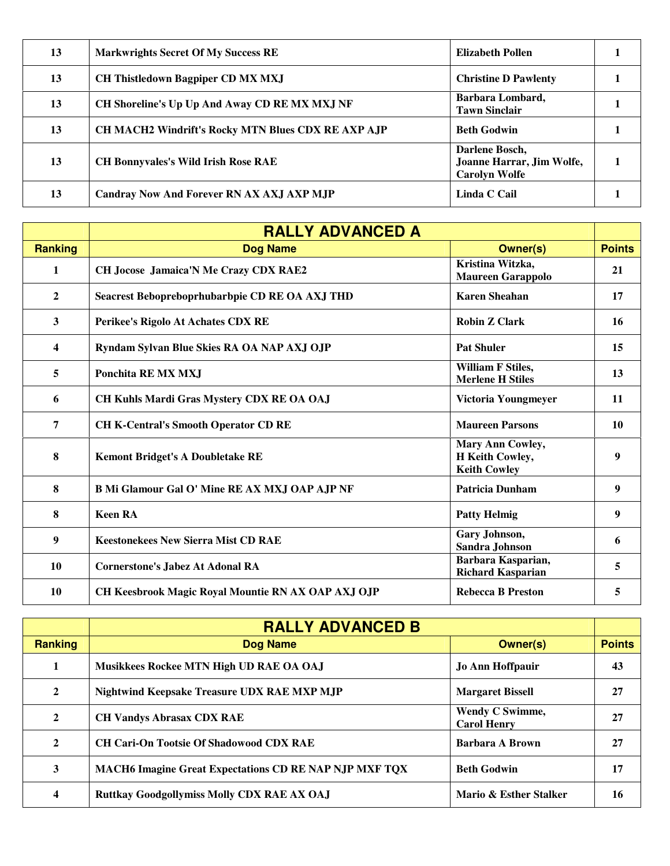| 13 | <b>Markwrights Secret Of My Success RE</b>                | Elizabeth Pollen                                                    |  |
|----|-----------------------------------------------------------|---------------------------------------------------------------------|--|
| 13 | <b>CH Thistledown Bagpiper CD MX MXJ</b>                  | <b>Christine D Pawlenty</b>                                         |  |
| 13 | CH Shoreline's Up Up And Away CD RE MX MXJ NF             | Barbara Lombard,<br><b>Tawn Sinclair</b>                            |  |
| 13 | <b>CH MACH2 Windrift's Rocky MTN Blues CDX RE AXP AJP</b> | <b>Beth Godwin</b>                                                  |  |
| 13 | <b>CH Bonnyvales's Wild Irish Rose RAE</b>                | Darlene Bosch,<br>Joanne Harrar, Jim Wolfe,<br><b>Carolyn Wolfe</b> |  |
| 13 | <b>Candray Now And Forever RN AX AXJ AXP MJP</b>          | Linda C Cail                                                        |  |

|                | <b>RALLY ADVANCED A</b>                              |                                                            |               |
|----------------|------------------------------------------------------|------------------------------------------------------------|---------------|
| <b>Ranking</b> | <b>Dog Name</b>                                      | <b>Owner(s)</b>                                            | <b>Points</b> |
| 1              | <b>CH Jocose Jamaica'N Me Crazy CDX RAE2</b>         | Kristina Witzka,<br><b>Maureen Garappolo</b>               | 21            |
| $\mathbf{2}$   | Seacrest Bebopreboprhubarbpie CD RE OA AXJ THD       | <b>Karen Sheahan</b>                                       | 17            |
| 3              | Perikee's Rigolo At Achates CDX RE                   | <b>Robin Z Clark</b>                                       | 16            |
| 4              | Ryndam Sylvan Blue Skies RA OA NAP AXJ OJP           | <b>Pat Shuler</b>                                          | 15            |
| 5              | Ponchita RE MX MXJ                                   | <b>William F Stiles,</b><br><b>Merlene H Stiles</b>        | 13            |
| 6              | CH Kuhls Mardi Gras Mystery CDX RE OA OAJ            | Victoria Youngmeyer                                        | 11            |
| 7              | <b>CH K-Central's Smooth Operator CD RE</b>          | <b>Maureen Parsons</b>                                     | 10            |
| 8              | <b>Kemont Bridget's A Doubletake RE</b>              | Mary Ann Cowley,<br>H Keith Cowley,<br><b>Keith Cowley</b> | 9             |
| 8              | <b>B Mi Glamour Gal O' Mine RE AX MXJ OAP AJP NF</b> | <b>Patricia Dunham</b>                                     | 9             |
| 8              | <b>Keen RA</b>                                       | <b>Patty Helmig</b>                                        | 9             |
| 9              | <b>Keestonekees New Sierra Mist CD RAE</b>           | Gary Johnson,<br>Sandra Johnson                            | 6             |
| 10             | <b>Cornerstone's Jabez At Adonal RA</b>              | Barbara Kasparian,<br><b>Richard Kasparian</b>             | 5             |
| 10             | CH Keesbrook Magic Royal Mountie RN AX OAP AXJ OJP   | <b>Rebecca B Preston</b>                                   | 5             |

|                | <b>RALLY ADVANCED B</b>                                       |                                              |               |
|----------------|---------------------------------------------------------------|----------------------------------------------|---------------|
| <b>Ranking</b> | <b>Dog Name</b>                                               | <b>Owner(s)</b>                              | <b>Points</b> |
|                | Musikkees Rockee MTN High UD RAE OA OAJ                       | <b>Jo Ann Hoffpauir</b>                      | 43            |
| $\mathbf{2}$   | Nightwind Keepsake Treasure UDX RAE MXP MJP                   | <b>Margaret Bissell</b>                      | 27            |
| $\mathbf{2}$   | <b>CH Vandys Abrasax CDX RAE</b>                              | <b>Wendy C Swimme,</b><br><b>Carol Henry</b> | 27            |
| $\mathbf{2}$   | <b>CH Cari-On Tootsie Of Shadowood CDX RAE</b>                | Barbara A Brown                              | 27            |
| 3              | <b>MACH6 Imagine Great Expectations CD RE NAP NJP MXF TQX</b> | <b>Beth Godwin</b>                           | 17            |
| 4              | <b>Ruttkay Goodgollymiss Molly CDX RAE AX OAJ</b>             | Mario & Esther Stalker                       | 16            |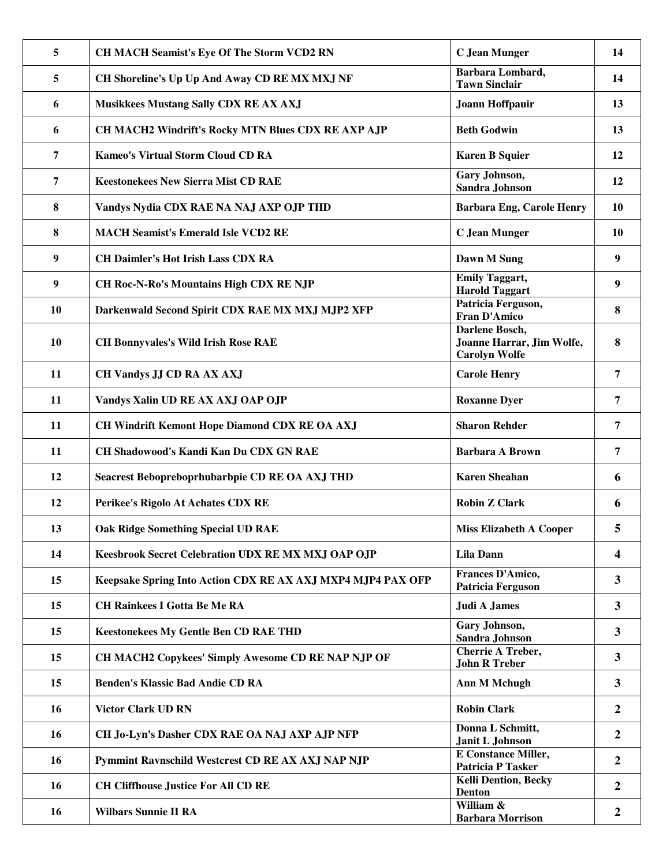| 5                | CH MACH Seamist's Eye Of The Storm VCD2 RN                  | C Jean Munger                                                       | 14                      |
|------------------|-------------------------------------------------------------|---------------------------------------------------------------------|-------------------------|
| 5                | CH Shoreline's Up Up And Away CD RE MX MXJ NF               | Barbara Lombard,<br><b>Tawn Sinclair</b>                            | 14                      |
| 6                | Musikkees Mustang Sally CDX RE AX AXJ                       | <b>Joann Hoffpauir</b>                                              | 13                      |
| 6                | CH MACH2 Windrift's Rocky MTN Blues CDX RE AXP AJP          | <b>Beth Godwin</b>                                                  | 13                      |
| $\overline{7}$   | <b>Kameo's Virtual Storm Cloud CD RA</b>                    | <b>Karen B Squier</b>                                               | 12                      |
| $\overline{7}$   | <b>Keestonekees New Sierra Mist CD RAE</b>                  | Gary Johnson,<br><b>Sandra Johnson</b>                              | 12                      |
| 8                | Vandys Nydia CDX RAE NA NAJ AXP OJP THD                     | <b>Barbara Eng, Carole Henry</b>                                    | 10                      |
| 8                | <b>MACH Seamist's Emerald Isle VCD2 RE</b>                  | <b>C</b> Jean Munger                                                | 10                      |
| 9                | <b>CH Daimler's Hot Irish Lass CDX RA</b>                   | Dawn M Sung                                                         | 9                       |
| $\boldsymbol{9}$ | <b>CH Roc-N-Ro's Mountains High CDX RE NJP</b>              | <b>Emily Taggart,</b><br><b>Harold Taggart</b>                      | 9                       |
| 10               | Darkenwald Second Spirit CDX RAE MX MXJ MJP2 XFP            | Patricia Ferguson,<br><b>Fran D'Amico</b>                           | 8                       |
| 10               | <b>CH Bonnyvales's Wild Irish Rose RAE</b>                  | Darlene Bosch,<br>Joanne Harrar, Jim Wolfe,<br><b>Carolyn Wolfe</b> | 8                       |
| 11               | <b>CH Vandys JJ CD RA AX AXJ</b>                            | <b>Carole Henry</b>                                                 | 7                       |
| 11               | Vandys Xalin UD RE AX AXJ OAP OJP                           | <b>Roxanne Dyer</b>                                                 | 7                       |
| 11               | CH Windrift Kemont Hope Diamond CDX RE OA AXJ               | <b>Sharon Rehder</b>                                                | $\overline{7}$          |
| 11               | CH Shadowood's Kandi Kan Du CDX GN RAE                      | <b>Barbara A Brown</b>                                              | $\overline{7}$          |
| 12               | Seacrest Bebopreboprhubarbpie CD RE OA AXJ THD              | <b>Karen Sheahan</b>                                                | 6                       |
| 12               | Perikee's Rigolo At Achates CDX RE                          | <b>Robin Z Clark</b>                                                | 6                       |
| 13               | Oak Ridge Something Special UD RAE                          | <b>Miss Elizabeth A Cooper</b>                                      |                         |
| 14               | Keesbrook Secret Celebration UDX RE MX MXJ OAP OJP          | <b>Lila Dann</b>                                                    | $\overline{\mathbf{4}}$ |
| 15               | Keepsake Spring Into Action CDX RE AX AXJ MXP4 MJP4 PAX OFP | Frances D'Amico,<br><b>Patricia Ferguson</b>                        | $\mathbf{3}$            |
| 15               | <b>CH Rainkees I Gotta Be Me RA</b>                         | Judi A James                                                        | $\mathbf{3}$            |
| 15               | <b>Keestonekees My Gentle Ben CD RAE THD</b>                | Gary Johnson,<br>Sandra Johnson                                     | $\overline{\mathbf{3}}$ |
| 15               | CH MACH2 Copykees' Simply Awesome CD RE NAP NJP OF          | <b>Cherrie A Treber,</b><br><b>John R Treber</b>                    | $\overline{\mathbf{3}}$ |
| 15               | <b>Benden's Klassic Bad Andie CD RA</b>                     | <b>Ann M Mchugh</b>                                                 | $\mathbf{3}$            |
| 16               | <b>Victor Clark UD RN</b>                                   | <b>Robin Clark</b>                                                  | $\boldsymbol{2}$        |
| 16               | CH Jo-Lyn's Dasher CDX RAE OA NAJ AXP AJP NFP               | Donna L Schmitt,<br>Janit L Johnson                                 | $\overline{2}$          |
| 16               | Pymmint Ravnschild Westcrest CD RE AX AXJ NAP NJP           | <b>E</b> Constance Miller,<br><b>Patricia P Tasker</b>              | $\overline{2}$          |
| 16               | <b>CH Cliffhouse Justice For All CD RE</b>                  | <b>Kelli Dention, Becky</b><br><b>Denton</b>                        | $\overline{2}$          |
| 16               | <b>Wilbars Sunnie II RA</b>                                 | William &<br><b>Barbara Morrison</b>                                | $\overline{2}$          |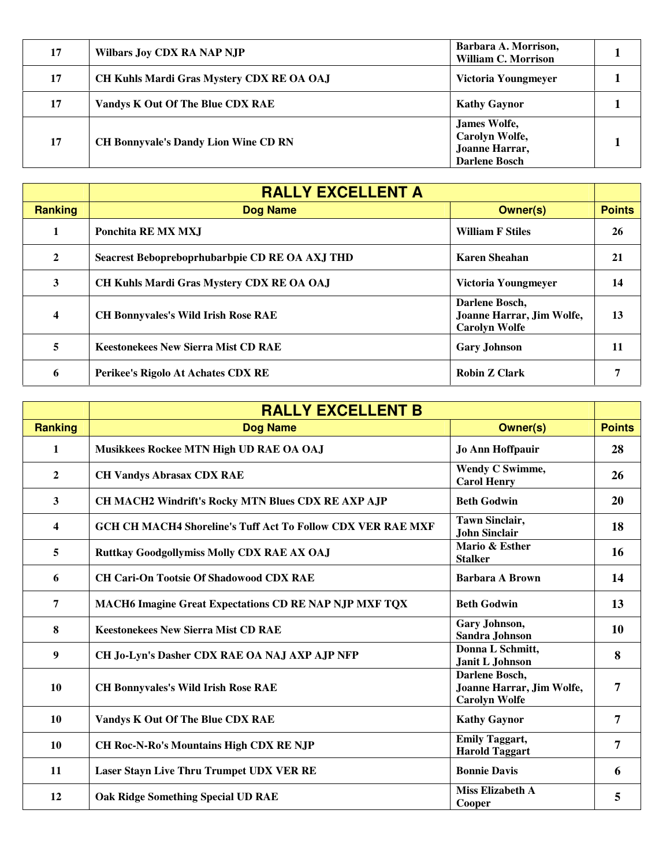| 17 | <b>Wilbars Joy CDX RA NAP NJP</b>           | Barbara A. Morrison,<br><b>William C. Morrison</b>                       |  |
|----|---------------------------------------------|--------------------------------------------------------------------------|--|
| 17 | CH Kuhls Mardi Gras Mystery CDX RE OA OAJ   | Victoria Youngmeyer                                                      |  |
| 17 | Vandys K Out Of The Blue CDX RAE            | <b>Kathy Gaynor</b>                                                      |  |
| 17 | <b>CH Bonnyvale's Dandy Lion Wine CD RN</b> | James Wolfe,<br>Carolyn Wolfe,<br>Joanne Harrar,<br><b>Darlene Bosch</b> |  |

|                | <b>RALLY EXCELLENT A</b>                       |                                                                     |               |
|----------------|------------------------------------------------|---------------------------------------------------------------------|---------------|
| <b>Ranking</b> | <b>Dog Name</b>                                | <b>Owner(s)</b>                                                     | <b>Points</b> |
|                | Ponchita RE MX MX.I                            | <b>William F Stiles</b>                                             | <b>26</b>     |
| $\mathbf{2}$   | Seacrest Bebopreboprhubarbpie CD RE OA AXJ THD | <b>Karen Sheahan</b>                                                | 21            |
| 3              | CH Kuhls Mardi Gras Mystery CDX RE OA OAJ      | Victoria Youngmeyer                                                 | 14            |
| 4              | <b>CH Bonnyvales's Wild Irish Rose RAE</b>     | Darlene Bosch,<br>Joanne Harrar, Jim Wolfe,<br><b>Carolyn Wolfe</b> | 13            |
| 5              | <b>Keestonekees New Sierra Mist CD RAE</b>     | <b>Gary Johnson</b>                                                 | 11            |
| 6              | Perikee's Rigolo At Achates CDX RE             | <b>Robin Z Clark</b>                                                |               |

|                | <b>RALLY EXCELLENT B</b>                                           |                                                                     |               |
|----------------|--------------------------------------------------------------------|---------------------------------------------------------------------|---------------|
| <b>Ranking</b> | <b>Dog Name</b>                                                    | <b>Owner(s)</b>                                                     | <b>Points</b> |
| $\mathbf{1}$   | Musikkees Rockee MTN High UD RAE OA OAJ                            | Jo Ann Hoffpauir                                                    | 28            |
| $\mathbf{2}$   | <b>CH Vandys Abrasax CDX RAE</b>                                   | Wendy C Swimme,<br><b>Carol Henry</b>                               | 26            |
| 3              | CH MACH2 Windrift's Rocky MTN Blues CDX RE AXP AJP                 | <b>Beth Godwin</b>                                                  | <b>20</b>     |
| 4              | <b>GCH CH MACH4 Shoreline's Tuff Act To Follow CDX VER RAE MXF</b> | <b>Tawn Sinclair,</b><br><b>John Sinclair</b>                       | 18            |
| 5              | <b>Ruttkay Goodgollymiss Molly CDX RAE AX OAJ</b>                  | Mario & Esther<br><b>Stalker</b>                                    | 16            |
| 6              | <b>CH Cari-On Tootsie Of Shadowood CDX RAE</b>                     | <b>Barbara A Brown</b>                                              | 14            |
| 7              | MACH6 Imagine Great Expectations CD RE NAP NJP MXF TQX             | <b>Beth Godwin</b>                                                  | 13            |
| 8              | <b>Keestonekees New Sierra Mist CD RAE</b>                         | Gary Johnson,<br>Sandra Johnson                                     | 10            |
| 9              | CH Jo-Lyn's Dasher CDX RAE OA NAJ AXP AJP NFP                      | Donna L Schmitt,<br><b>Janit L Johnson</b>                          | 8             |
| 10             | <b>CH Bonnyvales's Wild Irish Rose RAE</b>                         | Darlene Bosch,<br>Joanne Harrar, Jim Wolfe,<br><b>Carolyn Wolfe</b> | 7             |
| 10             | Vandys K Out Of The Blue CDX RAE                                   | <b>Kathy Gaynor</b>                                                 | 7             |
| 10             | <b>CH Roc-N-Ro's Mountains High CDX RE NJP</b>                     | <b>Emily Taggart,</b><br><b>Harold Taggart</b>                      | 7             |
| 11             | <b>Laser Stayn Live Thru Trumpet UDX VER RE</b>                    | <b>Bonnie Davis</b>                                                 | 6             |
| 12             | <b>Oak Ridge Something Special UD RAE</b>                          | <b>Miss Elizabeth A</b><br>Cooper                                   | 5             |